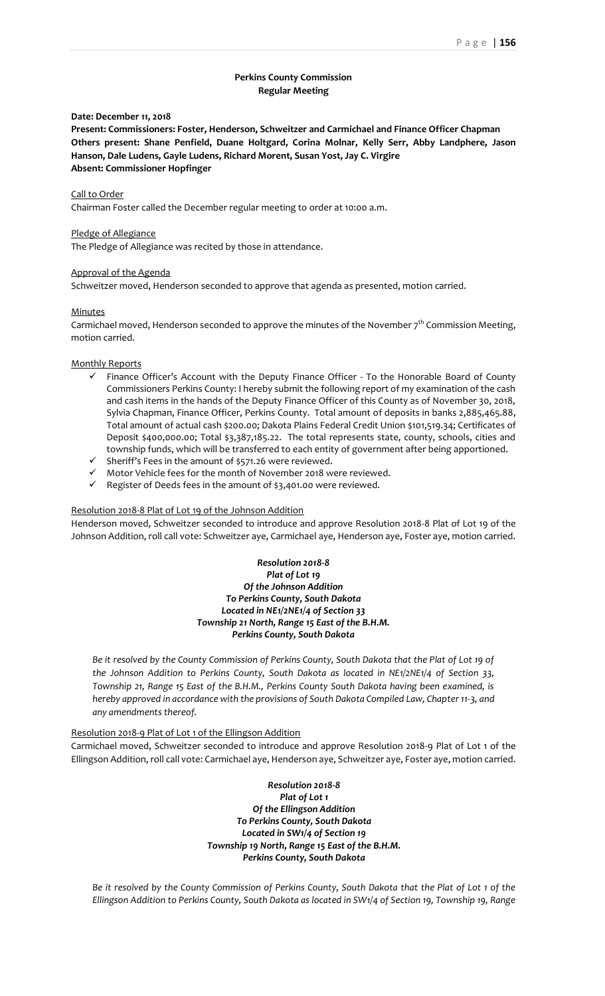# **Perkins County Commission Regular Meeting**

## **Date: December 11, 2018**

**Present: Commissioners: Foster, Henderson, Schweitzer and Carmichael and Finance Officer Chapman Others present: Shane Penfield, Duane Holtgard, Corina Molnar, Kelly Serr, Abby Landphere, Jason Hanson, Dale Ludens, Gayle Ludens, Richard Morent, Susan Yost, Jay C. Virgire Absent: Commissioner Hopfinger**

## Call to Order

Chairman Foster called the December regular meeting to order at 10:00 a.m.

## Pledge of Allegiance

The Pledge of Allegiance was recited by those in attendance.

## Approval of the Agenda

Schweitzer moved, Henderson seconded to approve that agenda as presented, motion carried.

## Minutes

Carmichael moved, Henderson seconded to approve the minutes of the November  $7<sup>th</sup>$  Commission Meeting, motion carried.

### Monthly Reports

- ✓ Finance Officer's Account with the Deputy Finance Officer To the Honorable Board of County Commissioners Perkins County: I hereby submit the following report of my examination of the cash and cash items in the hands of the Deputy Finance Officer of this County as of November 30, 2018, Sylvia Chapman, Finance Officer, Perkins County. Total amount of deposits in banks 2,885,465.88, Total amount of actual cash \$200.00; Dakota Plains Federal Credit Union \$101,519.34; Certificates of Deposit \$400,000.00; Total \$3,387,185.22. The total represents state, county, schools, cities and township funds, which will be transferred to each entity of government after being apportioned.
- $\checkmark$  Sheriff's Fees in the amount of \$571.26 were reviewed.
- ✓ Motor Vehicle fees for the month of November 2018 were reviewed.
- ✓ Register of Deeds fees in the amount of \$3,401.00 were reviewed.

## Resolution 2018-8 Plat of Lot 19 of the Johnson Addition

Henderson moved, Schweitzer seconded to introduce and approve Resolution 2018-8 Plat of Lot 19 of the Johnson Addition, roll call vote: Schweitzer aye, Carmichael aye, Henderson aye, Foster aye, motion carried.

> *Resolution 2018-8 Plat of Lot 19 Of the Johnson Addition To Perkins County, South Dakota Located in NE1/2NE1/4 of Section 33 Township 21 North, Range 15 East of the B.H.M. Perkins County, South Dakota*

Be it resolved by the County Commission of Perkins County, South Dakota that the Plat of Lot 19 of *the Johnson Addition to Perkins County, South Dakota as located in NE1/2NE1/4 of Section 33, Township 21, Range 15 East of the B.H.M., Perkins County South Dakota having been examined, is hereby approved in accordance with the provisions of South Dakota Compiled Law, Chapter 11-3, and any amendments thereof.*

Resolution 2018-9 Plat of Lot 1 of the Ellingson Addition

Carmichael moved, Schweitzer seconded to introduce and approve Resolution 2018-9 Plat of Lot 1 of the Ellingson Addition, roll call vote: Carmichael aye, Henderson aye, Schweitzer aye, Foster aye, motion carried.

> *Resolution 2018-8 Plat of Lot 1 Of the Ellingson Addition To Perkins County, South Dakota Located in SW1/4 of Section 19 Township 19 North, Range 15 East of the B.H.M. Perkins County, South Dakota*

*Be it resolved by the County Commission of Perkins County, South Dakota that the Plat of Lot 1 of the Ellingson Addition to Perkins County, South Dakota as located in SW1/4 of Section 19, Township 19, Range*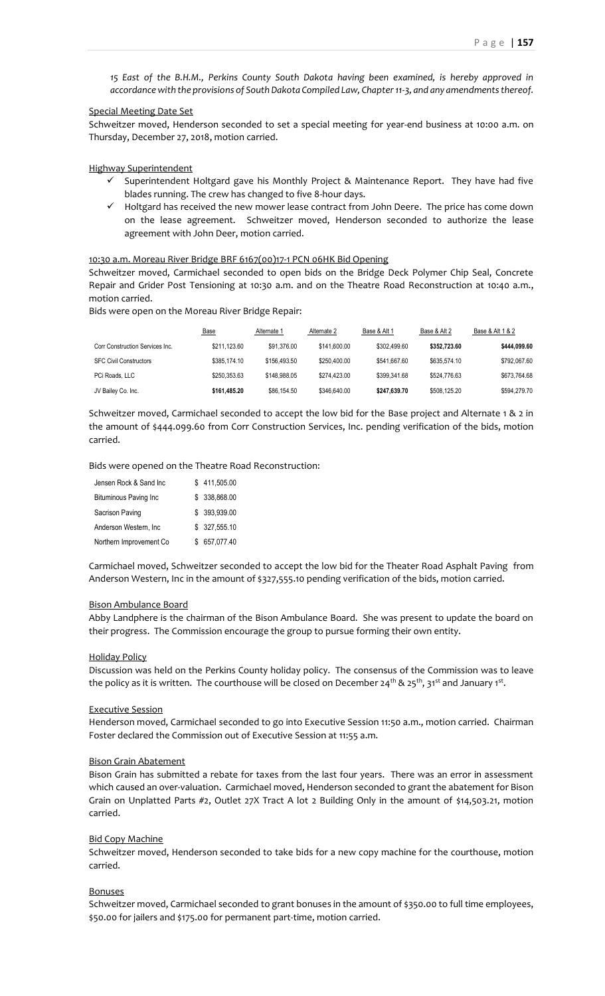*15 East of the B.H.M., Perkins County South Dakota having been examined, is hereby approved in accordance with the provisions of South Dakota Compiled Law, Chapter 11-3, and any amendments thereof.*

## Special Meeting Date Set

Schweitzer moved, Henderson seconded to set a special meeting for year-end business at 10:00 a.m. on Thursday, December 27, 2018, motion carried.

Highway Superintendent

- ✓ Superintendent Holtgard gave his Monthly Project & Maintenance Report. They have had five blades running. The crew has changed to five 8-hour days.
- ✓ Holtgard has received the new mower lease contract from John Deere. The price has come down on the lease agreement. Schweitzer moved, Henderson seconded to authorize the lease agreement with John Deer, motion carried.

10:30 a.m. Moreau River Bridge BRF 6167(00)17-1 PCN 06HK Bid Opening

Schweitzer moved, Carmichael seconded to open bids on the Bridge Deck Polymer Chip Seal, Concrete Repair and Grider Post Tensioning at 10:30 a.m. and on the Theatre Road Reconstruction at 10:40 a.m., motion carried.

Bids were open on the Moreau River Bridge Repair:

|                                 | <b>Base</b>  | Alternate 1  | Alternate 2  | Base & Alt 1 | Base & Alt 2 | Base & Alt 1 & 2 |
|---------------------------------|--------------|--------------|--------------|--------------|--------------|------------------|
| Corr Construction Services Inc. | \$211.123.60 | \$91.376.00  | \$141,600.00 | \$302,499.60 | \$352,723.60 | \$444.099.60     |
| <b>SFC Civil Constructors</b>   | \$385,174,10 | \$156,493.50 | \$250,400.00 | \$541.667.60 | \$635,574.10 | \$792.067.60     |
| PCi Roads, LLC                  | \$250,353.63 | \$148,988.05 | \$274.423.00 | \$399,341.68 | \$524,776.63 | \$673.764.68     |
| JV Bailey Co. Inc.              | \$161.485.20 | \$86,154.50  | \$346,640.00 | \$247.639.70 | \$508.125.20 | \$594,279.70     |

Schweitzer moved, Carmichael seconded to accept the low bid for the Base project and Alternate 1 & 2 in the amount of \$444.099.60 from Corr Construction Services, Inc. pending verification of the bids, motion carried.

Bids were opened on the Theatre Road Reconstruction:

| Jensen Rock & Sand Inc.      | \$411,505.00  |
|------------------------------|---------------|
| <b>Bituminous Paving Inc</b> | \$ 338,868.00 |
| Sacrison Paving              | \$ 393,939.00 |
| Anderson Western, Inc.       | \$ 327,555.10 |
| Northern Improvement Co      | 657,077.40    |

Carmichael moved, Schweitzer seconded to accept the low bid for the Theater Road Asphalt Paving from Anderson Western, Inc in the amount of \$327,555.10 pending verification of the bids, motion carried.

#### Bison Ambulance Board

Abby Landphere is the chairman of the Bison Ambulance Board. She was present to update the board on their progress. The Commission encourage the group to pursue forming their own entity.

#### Holiday Policy

Discussion was held on the Perkins County holiday policy. The consensus of the Commission was to leave the policy as it is written. The courthouse will be closed on December 24<sup>th</sup> & 25<sup>th</sup>, 31<sup>st</sup> and January 1<sup>st</sup>.

### Executive Session

Henderson moved, Carmichael seconded to go into Executive Session 11:50 a.m., motion carried. Chairman Foster declared the Commission out of Executive Session at 11:55 a.m.

### Bison Grain Abatement

Bison Grain has submitted a rebate for taxes from the last four years. There was an error in assessment which caused an over-valuation. Carmichael moved, Henderson seconded to grant the abatement for Bison Grain on Unplatted Parts #2, Outlet 27X Tract A lot 2 Building Only in the amount of \$14,503.21, motion carried.

### Bid Copy Machine

Schweitzer moved, Henderson seconded to take bids for a new copy machine for the courthouse, motion carried.

## Bonuses

Schweitzer moved, Carmichael seconded to grant bonuses in the amount of \$350.00 to full time employees, \$50.00 for jailers and \$175.00 for permanent part-time, motion carried.